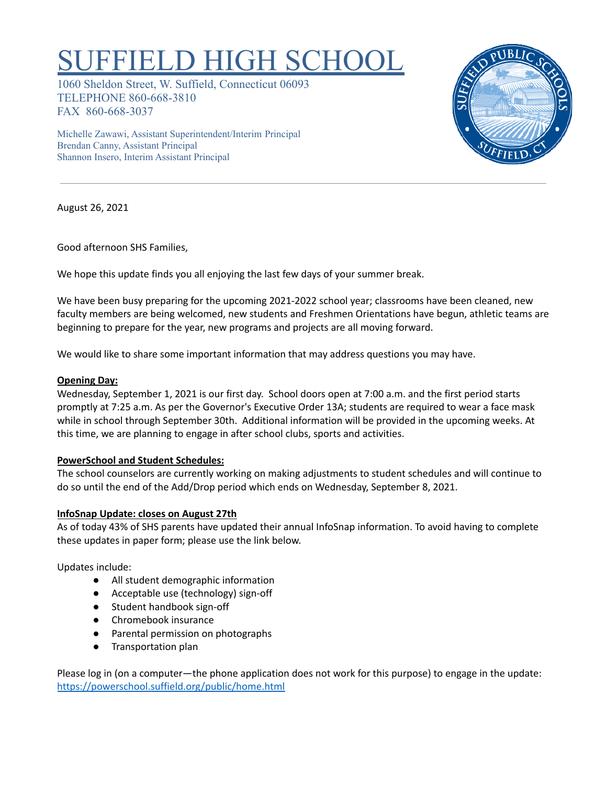# JFFIELD HIGH SCHOOL

1060 Sheldon Street, W. Suffield, Connecticut 06093 TELEPHONE 860-668-3810 FAX 860-668-3037

Michelle Zawawi, Assistant Superintendent/Interim Principal Brendan Canny, Assistant Principal Shannon Insero, Interim Assistant Principal



August 26, 2021

Good afternoon SHS Families,

We hope this update finds you all enjoying the last few days of your summer break.

We have been busy preparing for the upcoming 2021-2022 school year; classrooms have been cleaned, new faculty members are being welcomed, new students and Freshmen Orientations have begun, athletic teams are beginning to prepare for the year, new programs and projects are all moving forward.

We would like to share some important information that may address questions you may have.

## **Opening Day:**

Wednesday, September 1, 2021 is our first day. School doors open at 7:00 a.m. and the first period starts promptly at 7:25 a.m. As per the Governor's Executive Order 13A; students are required to wear a face mask while in school through September 30th. Additional information will be provided in the upcoming weeks. At this time, we are planning to engage in after school clubs, sports and activities.

# **PowerSchool and Student Schedules:**

The school counselors are currently working on making adjustments to student schedules and will continue to do so until the end of the Add/Drop period which ends on Wednesday, September 8, 2021.

## **InfoSnap Update: closes on August 27th**

As of today 43% of SHS parents have updated their annual InfoSnap information. To avoid having to complete these updates in paper form; please use the link below.

Updates include:

- All student demographic information
- Acceptable use (technology) sign-off
- Student handbook sign-off
- Chromebook insurance
- Parental permission on photographs
- Transportation plan

Please log in (on a computer—the phone application does not work for this purpose) to engage in the update: [https://powerschool.suffield.org/public/home.html](http://track.spe.schoolmessenger.com/f/a/5HFBRdwlxUOs3JMdx4Xoag~~/AAAAAQA~/RgRjB8j2P0QxaHR0cHM6Ly9wb3dlcnNjaG9vbC5zdWZmaWVsZC5vcmcvcHVibGljL2hvbWUuaHRtbFcHc2Nob29sbUIKYSZ2lSZhZ1oImlIUbXphd2F3aUBzdWZmaWVsZC5vcmdYBAAAAAE~)